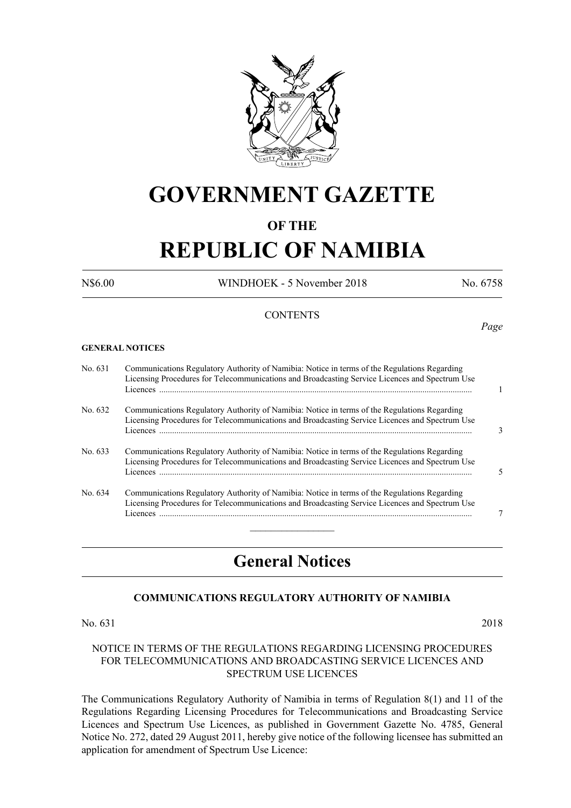

# **GOVERNMENT GAZETTE**

## **OF THE**

# **REPUBLIC OF NAMIBIA**

N\$6.00 WINDHOEK - 5 November 2018 No. 6758

#### **CONTENTS**

#### **GENERAL NOTICES**

| No. 631 | Communications Regulatory Authority of Namibia: Notice in terms of the Regulations Regarding<br>Licensing Procedures for Telecommunications and Broadcasting Service Licences and Spectrum Use<br>Licences |   |
|---------|------------------------------------------------------------------------------------------------------------------------------------------------------------------------------------------------------------|---|
| No. 632 | Communications Regulatory Authority of Namibia: Notice in terms of the Regulations Regarding<br>Licensing Procedures for Telecommunications and Broadcasting Service Licences and Spectrum Use<br>Licences | 3 |
| No. 633 | Communications Regulatory Authority of Namibia: Notice in terms of the Regulations Regarding<br>Licensing Procedures for Telecommunications and Broadcasting Service Licences and Spectrum Use             | 5 |
| No. 634 | Communications Regulatory Authority of Namibia: Notice in terms of the Regulations Regarding<br>Licensing Procedures for Telecommunications and Broadcasting Service Licences and Spectrum Use<br>Licences |   |

# **General Notices**

#### **COMMUNICATIONS REGULATORY AUTHORITY OF NAMIBIA**

#### No. 631 2018

#### NOTICE IN TERMS OF THE REGULATIONS REGARDING LICENSING PROCEDURES FOR TELECOMMUNICATIONS AND BROADCASTING SERVICE LICENCES AND SPECTRUM USE LICENCES

The Communications Regulatory Authority of Namibia in terms of Regulation 8(1) and 11 of the Regulations Regarding Licensing Procedures for Telecommunications and Broadcasting Service Licences and Spectrum Use Licences, as published in Government Gazette No. 4785, General Notice No. 272, dated 29 August 2011, hereby give notice of the following licensee has submitted an application for amendment of Spectrum Use Licence:

#### *Page*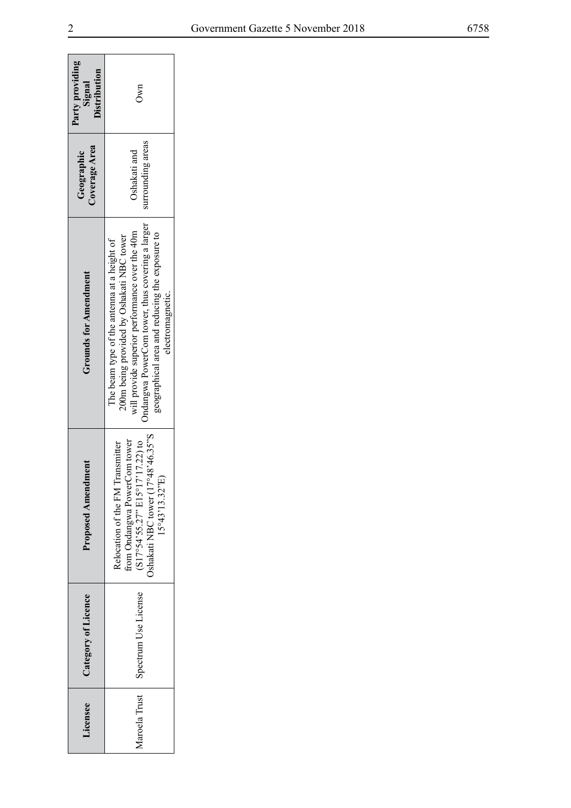| Party providing<br>Distribution<br>Signal | Own                                                                                                                                                                                                                                                                 |  |
|-------------------------------------------|---------------------------------------------------------------------------------------------------------------------------------------------------------------------------------------------------------------------------------------------------------------------|--|
| Coverage Area<br>Geographic               | surrounding areas<br>Oshakati and                                                                                                                                                                                                                                   |  |
| <b>Grounds for Amendment</b>              | Indangwa PowerCom tower, thus covering a larger<br>will provide superior performance over the 40m<br>geographical area and reducing the exposure to<br>200m being provided by Oshakati NBC tower<br>The beam type of the antenna at a height of<br>electromagnetic. |  |
| ndment<br>Proposed Amer                   | 17°48'46.35"<br>from Ondangwa PowerCom tower<br>$(S17°54°55.27" E15°17'17.22)$ to<br>Transmitter<br>15°43'13.32"E<br>Relocation of the FM<br>Oshakati NBC tower (1                                                                                                  |  |
| Category of Licence                       | Aaroela Trust   Spectrum Use License                                                                                                                                                                                                                                |  |
| dicensee                                  |                                                                                                                                                                                                                                                                     |  |

 $\overline{\phantom{a}}$ 

 $\mathbf{r}$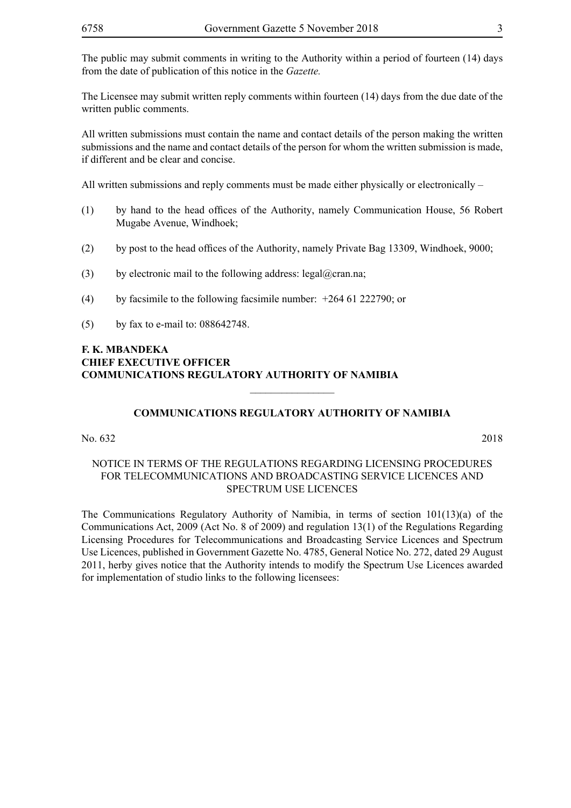The Licensee may submit written reply comments within fourteen (14) days from the due date of the written public comments.

All written submissions must contain the name and contact details of the person making the written submissions and the name and contact details of the person for whom the written submission is made, if different and be clear and concise.

All written submissions and reply comments must be made either physically or electronically –

- (1) by hand to the head offices of the Authority, namely Communication House, 56 Robert Mugabe Avenue, Windhoek;
- (2) by post to the head offices of the Authority, namely Private Bag 13309, Windhoek, 9000;
- (3) by electronic mail to the following address: legal@cran.na;
- (4) by facsimile to the following facsimile number: +264 61 222790; or
- (5) by fax to e-mail to: 088642748.

#### **F. K. MBANDEKA CHIEF EXECUTIVE OFFICER COMMUNICATIONS REGULATORY AUTHORITY OF NAMIBIA**

#### **COMMUNICATIONS REGULATORY AUTHORITY OF NAMIBIA**

 $\overline{\phantom{a}}$  , where  $\overline{\phantom{a}}$ 

No. 632 2018

#### NOTICE IN TERMS OF THE REGULATIONS REGARDING LICENSING PROCEDURES FOR TELECOMMUNICATIONS AND BROADCASTING SERVICE LICENCES AND SPECTRUM USE LICENCES

The Communications Regulatory Authority of Namibia, in terms of section 101(13)(a) of the Communications Act, 2009 (Act No. 8 of 2009) and regulation 13(1) of the Regulations Regarding Licensing Procedures for Telecommunications and Broadcasting Service Licences and Spectrum Use Licences, published in Government Gazette No. 4785, General Notice No. 272, dated 29 August 2011, herby gives notice that the Authority intends to modify the Spectrum Use Licences awarded for implementation of studio links to the following licensees: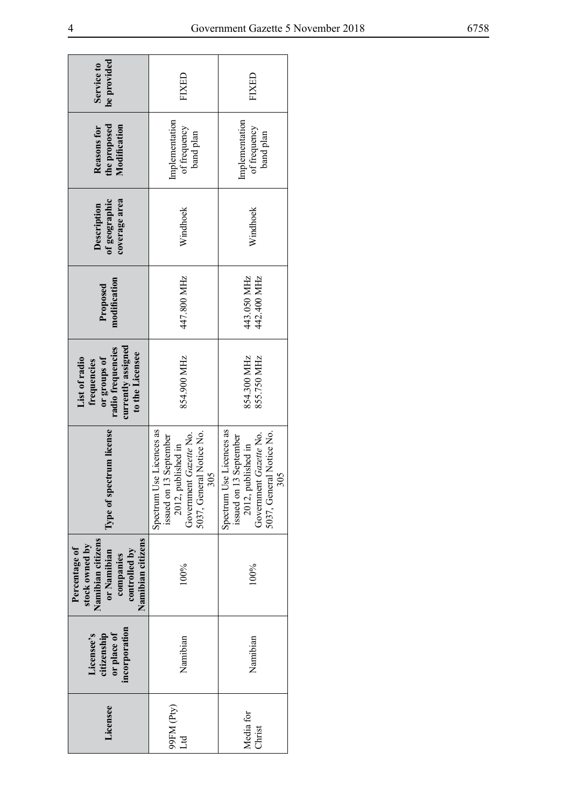| be provided<br>Service to                                                                                              | FIXED                                                                                                                                      | FIXED                                                                                                                                 |
|------------------------------------------------------------------------------------------------------------------------|--------------------------------------------------------------------------------------------------------------------------------------------|---------------------------------------------------------------------------------------------------------------------------------------|
| Modification<br>the proposed<br>Reasons for                                                                            | Implementation<br>of frequency<br>band plan                                                                                                | Implementation<br>of frequency<br>band plan                                                                                           |
| of geographic<br>coverage area<br>Description                                                                          | Windhoek                                                                                                                                   | Windhoek                                                                                                                              |
| modification<br>Proposed                                                                                               | 447.800 MHz<br>442.400 MHz<br>443.050 MHz                                                                                                  |                                                                                                                                       |
| currently assigned<br>radio frequencies<br>to the Licensee<br>or groups of<br>List of radio<br>frequencies             | 854.900 MHz                                                                                                                                | 854.300 MHz<br>855.750 MHz                                                                                                            |
| Type of spectrum license                                                                                               | Use Licences as<br>5037, General Notice No.<br>Government Gazette No.<br>issued on 13 September<br>2012, published in<br>305<br>Spectrum U | Spectrum Use Licences as<br>5037, General Notice No.<br>Government Gazette No.<br>issued on 13 September<br>2012, published in<br>305 |
| Namibian citizens<br>Namibian citizens<br>stock owned by<br>Percentage of<br>controlled by<br>or Namibian<br>companies | 100%<br>100%                                                                                                                               |                                                                                                                                       |
| incorporation<br>or place of<br>citizenship<br>Licensee's                                                              | Namibian                                                                                                                                   |                                                                                                                                       |
| Licensee                                                                                                               | 99FM (Pty)<br>Ħ                                                                                                                            | Media for<br>Christ                                                                                                                   |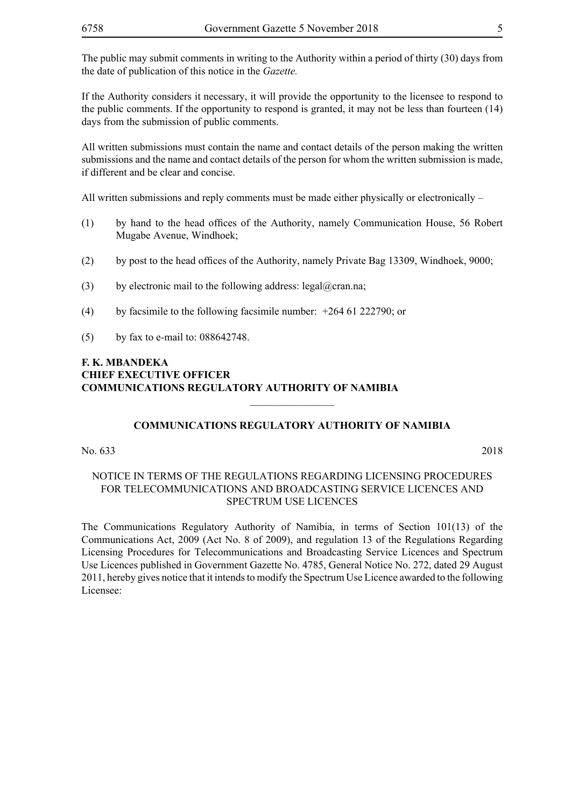If the Authority considers it necessary, it will provide the opportunity to the licensee to respond to the public comments. If the opportunity to respond is granted, it may not be less than fourteen (14) days from the submission of public comments.

All written submissions must contain the name and contact details of the person making the written submissions and the name and contact details of the person for whom the written submission is made, if different and be clear and concise.

All written submissions and reply comments must be made either physically or electronically  $-$ 

- (1) by hand to the head offices of the Authority, namely Communication House, 56 Robert Mugabe Avenue, Windhoek;
- (2) by post to the head offices of the Authority, namely Private Bag 13309, Windhoek, 9000;
- (3) by electronic mail to the following address: legal@cran.na;
- (4) by facsimile to the following facsimile number: +264 61 222790; or
- (5) by fax to e-mail to: 088642748.

#### **F. K. MBANDEKA CHIEF EXECUTIVE OFFICER COMMUNICATIONS REGULATORY AUTHORITY OF NAMIBIA**

#### **COMMUNICATIONS REGULATORY AUTHORITY OF NAMIBIA**

 $\overline{\phantom{a}}$  , where  $\overline{\phantom{a}}$ 

No. 633 2018

#### NOTICE IN TERMS OF THE REGULATIONS REGARDING LICENSING PROCEDURES FOR TELECOMMUNICATIONS AND BROADCASTING SERVICE LICENCES AND SPECTRUM USE LICENCES

The Communications Regulatory Authority of Namibia, in terms of Section 101(13) of the Communications Act, 2009 (Act No. 8 of 2009), and regulation 13 of the Regulations Regarding Licensing Procedures for Telecommunications and Broadcasting Service Licences and Spectrum Use Licences published in Government Gazette No. 4785, General Notice No. 272, dated 29 August 2011, hereby gives notice that it intends to modify the Spectrum Use Licence awarded to the following Licensee: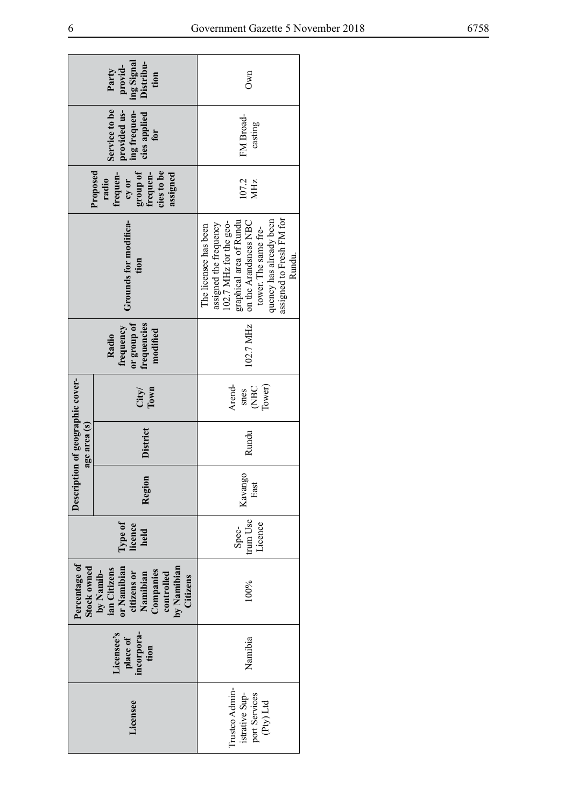| provid-<br>ing Signal<br>Distribu-<br>Party<br>tion                  |                                                                                                                           | Own                                                                                                                                                                                                                    |  |
|----------------------------------------------------------------------|---------------------------------------------------------------------------------------------------------------------------|------------------------------------------------------------------------------------------------------------------------------------------------------------------------------------------------------------------------|--|
| Service to be<br>provided us-<br>ing frequen-<br>cies applied<br>for |                                                                                                                           | FM Broad-<br>casting                                                                                                                                                                                                   |  |
|                                                                      | group of<br>cies to be<br>Proposed<br>frequen-<br>frequen-<br>assigned<br>radio<br>cy or                                  | 107.2<br>MHz                                                                                                                                                                                                           |  |
| Grounds for modifica-<br>tion                                        |                                                                                                                           | assigned to Fresh FM for<br>quency has already been<br>graphical area of Rundu<br>on the Arandsness NBC<br>102.7 MHz for the geo-<br>assigned the frequency<br>The licensee has been<br>tower. The same fre-<br>Rundu. |  |
|                                                                      | or group of<br>frequencies<br>frequency<br>modified<br>Radio                                                              | 102.7 MHz                                                                                                                                                                                                              |  |
|                                                                      | City/<br>Town                                                                                                             | Arend-<br>Tower)<br>$C$ BC<br>snes                                                                                                                                                                                     |  |
| Description of geographic cover-<br>age area (s)                     | District                                                                                                                  | Rundu                                                                                                                                                                                                                  |  |
|                                                                      | Region                                                                                                                    | Kavango<br>East                                                                                                                                                                                                        |  |
|                                                                      | Type of<br>licence<br>held                                                                                                | trum Use<br>Licence<br>Spec-                                                                                                                                                                                           |  |
| Percentage of<br>Stock owned                                         | or Namibian<br>by Namibian<br>Citizens<br>ian Citizens<br>Companies<br>controlled<br>by Namib-<br>citizens or<br>Namibian | 100%                                                                                                                                                                                                                   |  |
|                                                                      | Licensee's<br>incorpora-<br>tion<br>place of                                                                              | Namibia                                                                                                                                                                                                                |  |
|                                                                      | Licensee                                                                                                                  | Trustco Admin-<br>istrative Sup-<br>port Services<br>(Pty) Ltd                                                                                                                                                         |  |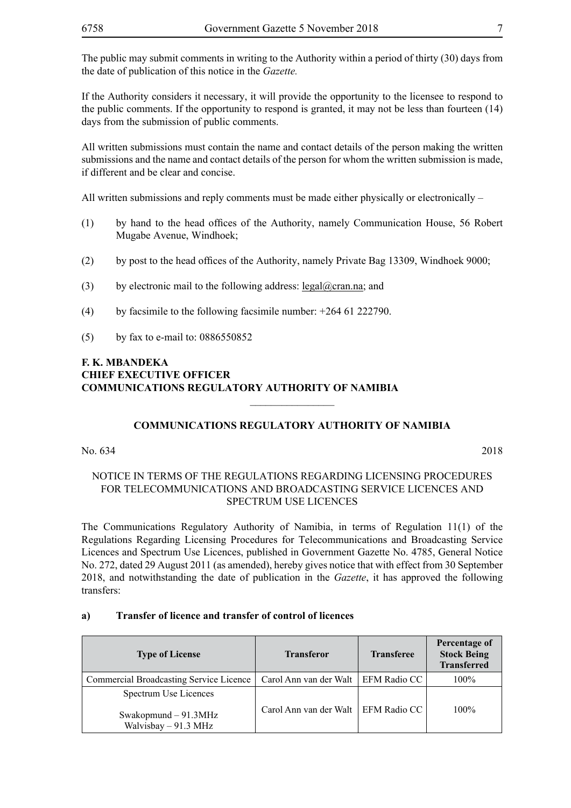The public may submit comments in writing to the Authority within a period of thirty (30) days from the date of publication of this notice in the *Gazette.* 

If the Authority considers it necessary, it will provide the opportunity to the licensee to respond to the public comments. If the opportunity to respond is granted, it may not be less than fourteen (14) days from the submission of public comments.

All written submissions must contain the name and contact details of the person making the written submissions and the name and contact details of the person for whom the written submission is made, if different and be clear and concise.

All written submissions and reply comments must be made either physically or electronically  $-$ 

- (1) by hand to the head offices of the Authority, namely Communication House, 56 Robert Mugabe Avenue, Windhoek;
- (2) by post to the head offices of the Authority, namely Private Bag 13309, Windhoek 9000;
- (3) by electronic mail to the following address:  $\text{legal}(\partial \text{cran}.\text{na})$ ; and
- (4) by facsimile to the following facsimile number:  $+264$  61 222790.
- (5) by fax to e-mail to: 0886550852

### **F. K. MBANDEKA CHIEF EXECUTIVE OFFICER COMMUNICATIONS REGULATORY AUTHORITY OF NAMIBIA**

#### **COMMUNICATIONS REGULATORY AUTHORITY OF NAMIBIA**

 $\overline{\phantom{a}}$  , where  $\overline{\phantom{a}}$ 

No. 634 2018

#### NOTICE IN TERMS OF THE REGULATIONS REGARDING LICENSING PROCEDURES FOR TELECOMMUNICATIONS AND BROADCASTING SERVICE LICENCES AND SPECTRUM USE LICENCES

The Communications Regulatory Authority of Namibia, in terms of Regulation 11(1) of the Regulations Regarding Licensing Procedures for Telecommunications and Broadcasting Service Licences and Spectrum Use Licences, published in Government Gazette No. 4785, General Notice No. 272, dated 29 August 2011 (as amended), hereby gives notice that with effect from 30 September 2018, and notwithstanding the date of publication in the *Gazette*, it has approved the following transfers:

#### **a) Transfer of licence and transfer of control of licences**

| <b>Type of License</b>                                                   | <b>Transferor</b>                     | <b>Transferee</b> | Percentage of<br><b>Stock Being</b><br><b>Transferred</b> |
|--------------------------------------------------------------------------|---------------------------------------|-------------------|-----------------------------------------------------------|
| <b>Commercial Broadcasting Service Licence</b>                           | Carol Ann van der Walt   EFM Radio CC |                   | 100%                                                      |
| Spectrum Use Licences<br>Swakopmund $-91.3$ MHz<br>Walvisbay $-91.3$ MHz | Carol Ann van der Walt   EFM Radio CC |                   | $100\%$                                                   |